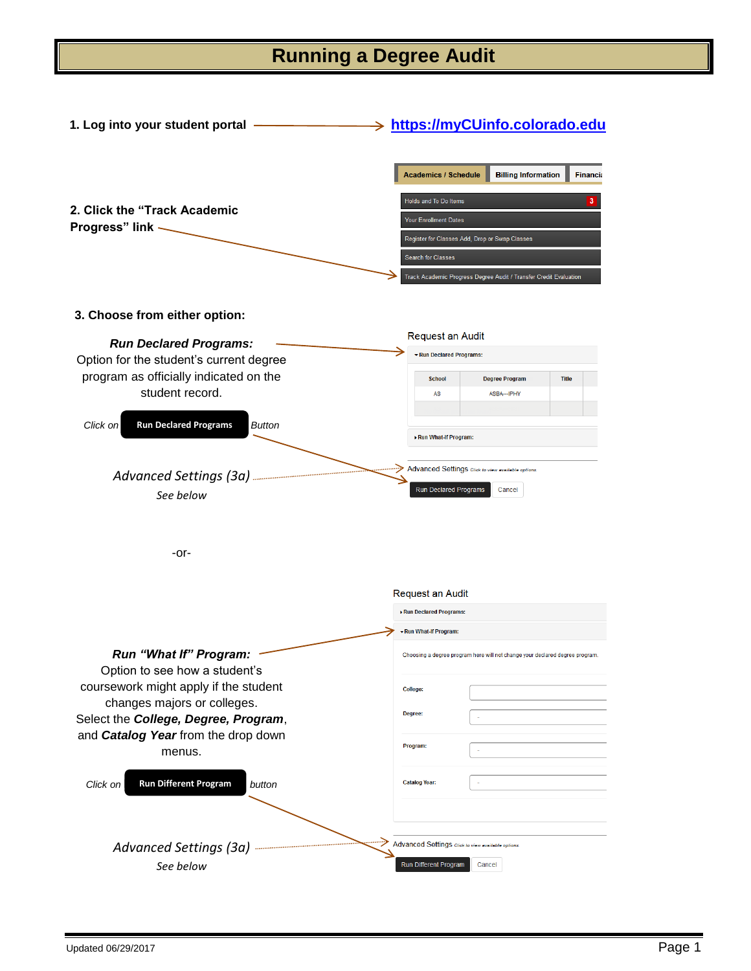## **Running a Degree Audit**

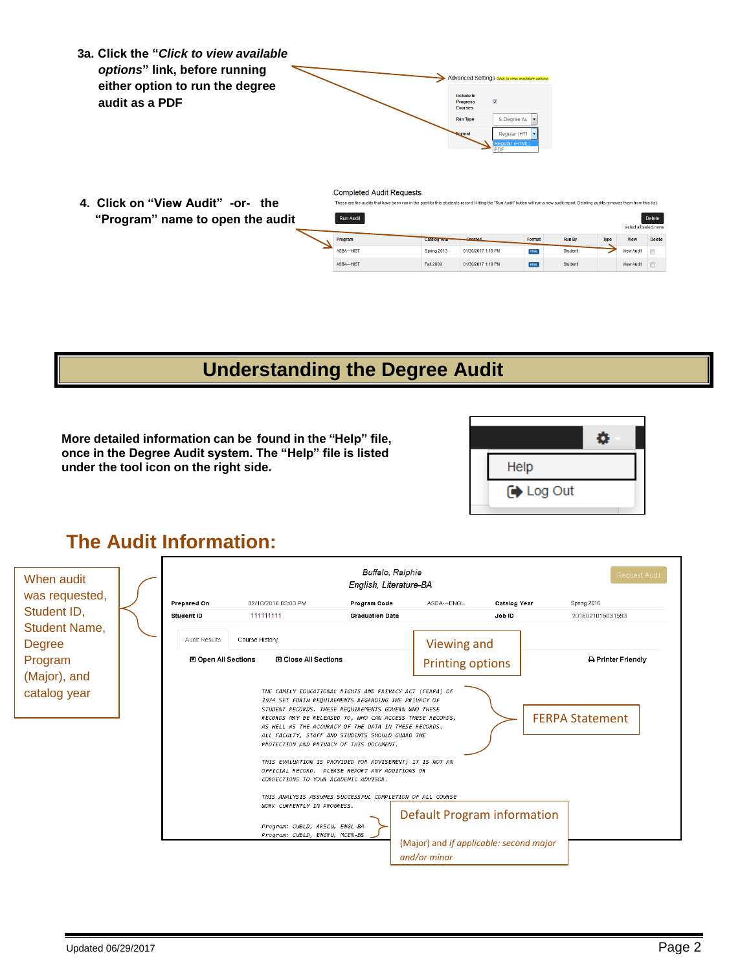- **3a. Click the "***Click to view available options***" link, before running Advanced Settings either option to run the degree**  Include In<br>Progress<br>Courses **audit as a PDF**  $\overline{\mathbf{v}}$ **Run Type**  $S$ -Degree Au Regular (HTI
- **4. Click on "View Audit" -or- the "Program" name to open the audit**

**Completed Audit Requests** These are the audits that have been run in the past for this student's record. Hitting the "Run Audit" button will run a new audit report. Deleting audits removes them from this list

| <b>Run Audit</b><br>select all/select none |              |                    |             |               |             |             |               |
|--------------------------------------------|--------------|--------------------|-------------|---------------|-------------|-------------|---------------|
| Program                                    | Catalog rear | <b>Created</b>     | Format      | <b>Run By</b> | <b>Type</b> | <b>View</b> | <b>Delete</b> |
| ASBA--- HIST                               | Spring 2013  | 01/30/2017 1:19 PM | <b>HTML</b> | Student       |             | View Audit  | F             |
| ASBA--- HIST                               | Fall 2009    | 01/30/2017 1:19 PM | <b>HTML</b> | Student       |             | View Audit  | E             |
|                                            |              |                    |             |               |             |             |               |

# **Understanding the Degree Audit**

**More detailed information can be found in the "Help" file, once in the Degree Audit system. The "Help" file is listed under the tool icon on the right side.**



#### **The Audit Information:**

| When audit<br>was requested,<br>Student ID, |  | Prepared On                 | Request Audit<br>Spring 2016                                                                                                             |                                                                                                                                                                                                                                                                                                                                                                                                                                                                                                                                                                            |                                                                                        |                        |                  |
|---------------------------------------------|--|-----------------------------|------------------------------------------------------------------------------------------------------------------------------------------|----------------------------------------------------------------------------------------------------------------------------------------------------------------------------------------------------------------------------------------------------------------------------------------------------------------------------------------------------------------------------------------------------------------------------------------------------------------------------------------------------------------------------------------------------------------------------|----------------------------------------------------------------------------------------|------------------------|------------------|
| <b>Student Name,</b><br><b>Degree</b>       |  | Student ID<br>Audit Results | 111111111<br>Course History                                                                                                              | <b>Graduation Date</b>                                                                                                                                                                                                                                                                                                                                                                                                                                                                                                                                                     | Viewing and                                                                            | Job ID                 | 2016021015031593 |
| Program<br>(Major), and                     |  | <b>⊡</b> Open All Sections  | <b>El Close All Sections</b>                                                                                                             |                                                                                                                                                                                                                                                                                                                                                                                                                                                                                                                                                                            | <b>Printing options</b>                                                                |                        | Printer Friendly |
| catalog year                                |  |                             | CORRECTIONS TO YOUR ACADEMIC ADVISOR.<br>WORK CURRENTLY IN PROGRESS.<br>Program: CUBLD, ARSCU, ENGL-BA<br>Program: CUBLD, ENGRU, MCEN-BS | THE FAMILY EDUCATIONAL RIGHTS AND PRIVACY ACT (FERPA) OF<br>1974 SET FORTH REQUIREMENTS REGARDING THE PRIVACY OF<br>STUDENT RECORDS. THESE REQUIREMENTS GOVERN WHO THESE<br>RECORDS MAY BE RELEASED TO, WHO CAN ACCESS THESE RECORDS,<br>AS WELL AS THE ACCURACY OF THE DATA IN THESE RECORDS.<br>ALL FACULTY, STAFF AND STUDENTS SHOULD GUARD THE<br>PROTECTION AND PRIVACY OF THIS DOCUMENT.<br>THIS EVALUATION IS PROVIDED FOR ADVISEMENT; IT IS NOT AN<br>OFFICIAL RECORD. PLEASE REPORT ANY ADDITIONS OR<br>THIS ANALYSIS ASSUMES SUCCESSFUL COMPLETION OF ALL COURSE | Default Program information<br>(Major) and if applicable: second major<br>and/or minor | <b>FERPA Statement</b> |                  |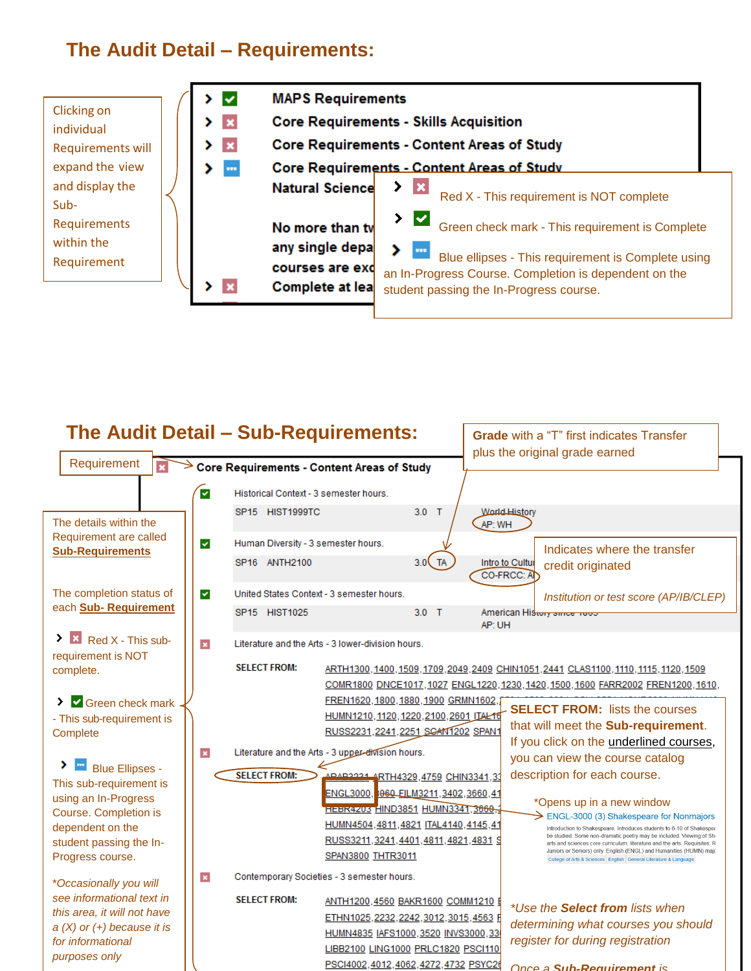### **The Audit Detail – Requirements:**



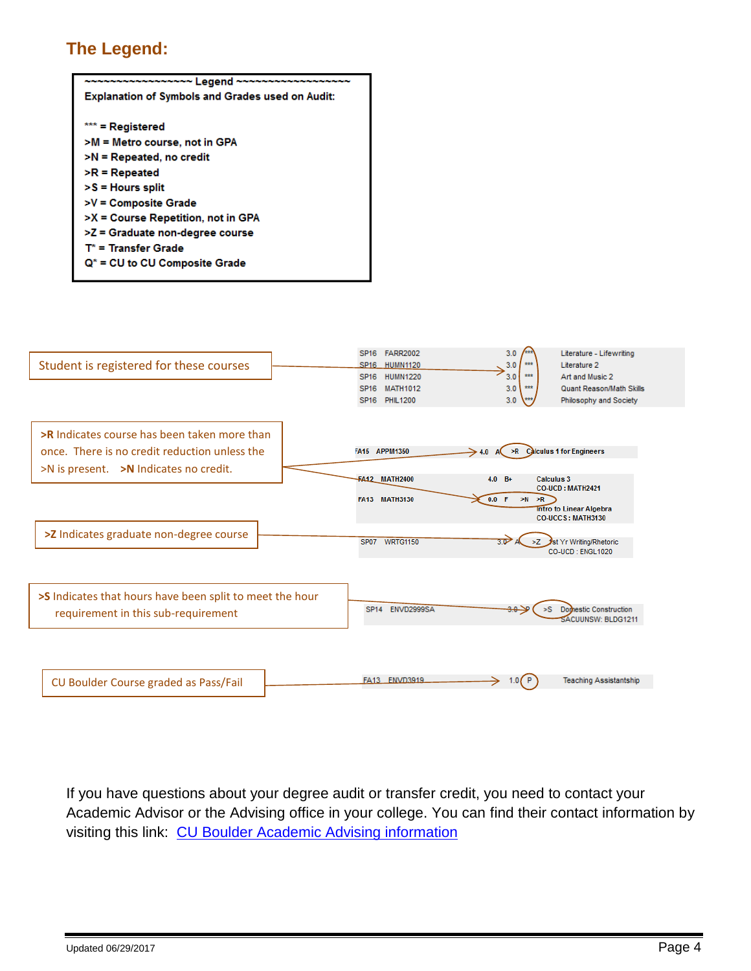#### **The Legend:**

| ~~~~~~~ Leaend ~~~~~~                                   |  |  |  |  |  |  |
|---------------------------------------------------------|--|--|--|--|--|--|
| <b>Explanation of Symbols and Grades used on Audit:</b> |  |  |  |  |  |  |
|                                                         |  |  |  |  |  |  |
| *** = Registered                                        |  |  |  |  |  |  |
| >M = Metro course, not in GPA                           |  |  |  |  |  |  |
| >N = Repeated, no credit                                |  |  |  |  |  |  |
| $\triangleright$ R $=$ Repeated                         |  |  |  |  |  |  |
| >S = Hours split                                        |  |  |  |  |  |  |
| >V = Composite Grade                                    |  |  |  |  |  |  |
| >X = Course Repetition, not in GPA                      |  |  |  |  |  |  |
| >Z = Graduate non-degree course                         |  |  |  |  |  |  |
| $T^*$ = Transfer Grade                                  |  |  |  |  |  |  |
| $Q^*$ = CU to CU Composite Grade                        |  |  |  |  |  |  |
|                                                         |  |  |  |  |  |  |



If you have questions about your degree audit or transfer credit, you need to contact your Academic Advisor or the Advising office in your college. You can find their contact information by visiting this link: [CU Boulder Academic Advising information](http://www.colorado.edu/academics/academic-advising)